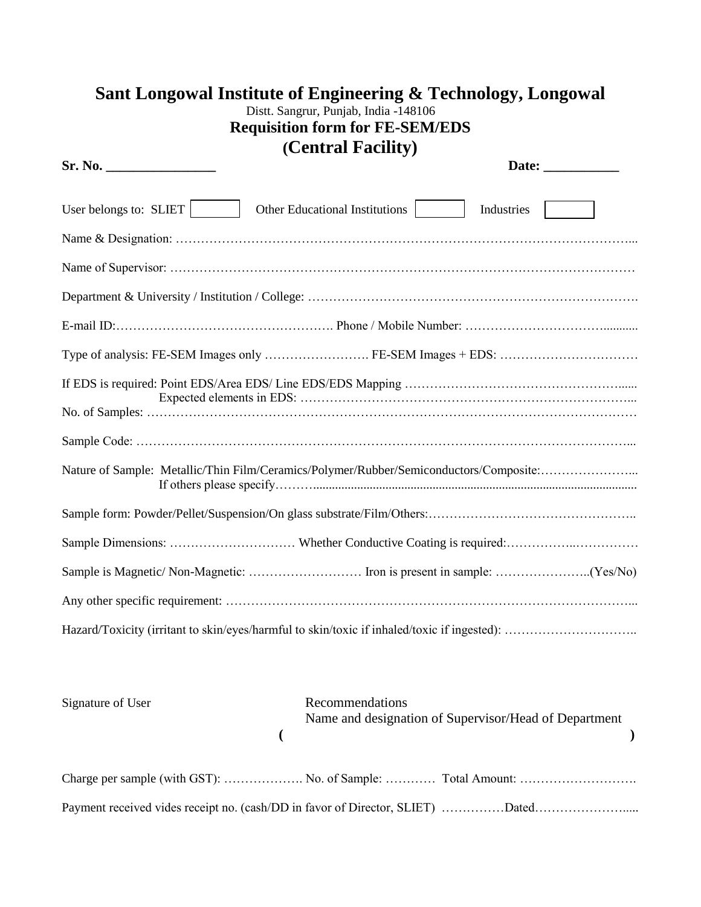| Sant Longowal Institute of Engineering & Technology, Longowal<br>Distt. Sangrur, Punjab, India -148106<br><b>Requisition form for FE-SEM/EDS</b> |
|--------------------------------------------------------------------------------------------------------------------------------------------------|
| (Central Facility)                                                                                                                               |
| Sr. No.                                                                                                                                          |
| User belongs to: SLIET<br>Other Educational Institutions<br>Industries                                                                           |
|                                                                                                                                                  |
|                                                                                                                                                  |
|                                                                                                                                                  |
|                                                                                                                                                  |
|                                                                                                                                                  |
|                                                                                                                                                  |
|                                                                                                                                                  |
| Nature of Sample: Metallic/Thin Film/Ceramics/Polymer/Rubber/Semiconductors/Composite:                                                           |
|                                                                                                                                                  |
|                                                                                                                                                  |
|                                                                                                                                                  |
|                                                                                                                                                  |
|                                                                                                                                                  |

| Signature of User | Recommendations<br>Name and designation of Supervisor/Head of Department |
|-------------------|--------------------------------------------------------------------------|
|                   |                                                                          |
|                   |                                                                          |
|                   |                                                                          |